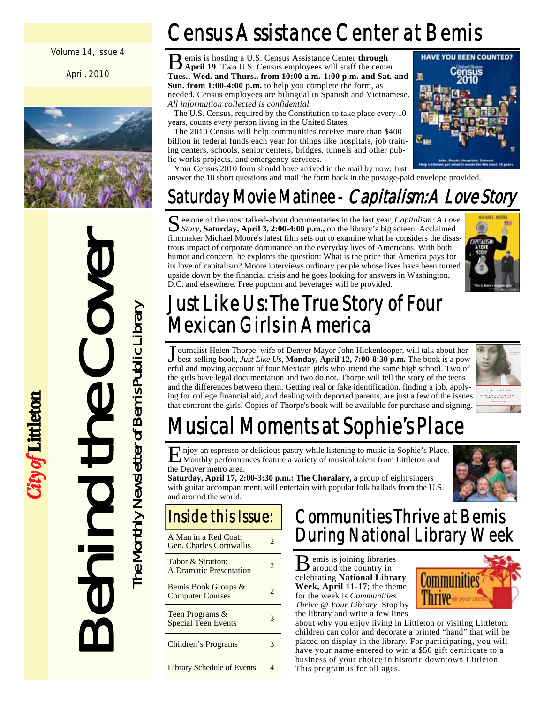#### Volume 14, Issue 4

April, 2010



Behind the Cover

ity of Littleton

The Monthly Newsletter of Bemis Public Library

The Monthly Newsletter of Bemis Public Library

# Census Assistance Center at Bemis

B emis is hosting a U.S. Census Assistance Center **through April 19**. Two U.S. Census employees will staff the center **Tues., Wed. and Thurs., from 10:00 a.m.-1:00 p.m. and Sat. and Sun. from 1:00-4:00 p.m.** to help you complete the form, as needed. Census employees are bilingual in Spanish and Vietnamese. *All information collected is confidential.* 

 The U.S. Census, required by the Constitution to take place every 10 years, counts *every* person living in the United States.

 The 2010 Census will help communities receive more than \$400 billion in federal funds each year for things like hospitals, job training centers, schools, senior centers, bridges, tunnels and other public works projects, and emergency services.

 Your Census 2010 form should have arrived in the mail by now. Just answer the 10 short questions and mail the form back in the postage-paid envelope provided.

# Saturday Movie Matinee - *Capitalism: A Love Story*

See one of the most talked-about documentaries in the last year, *Capitalism: A Love Story*, **Saturday, April 3, 2:00-4:00 p.m.,** on the library's big screen. Acclaimed filmmaker Michael Moore's latest film sets out to examine what he considers the disastrous impact of corporate dominance on the everyday lives of Americans. With both humor and concern, he explores the question: What is the price that America pays for its love of capitalism? Moore interviews ordinary people whose lives have been turned upside down by the financial crisis and he goes looking for answers in Washington, D.C. and elsewhere. Free popcorn and beverages will be provided.



# Just Like Us: The True Story of Four Mexican Girls in America

J ournalist Helen Thorpe, wife of Denver Mayor John Hickenlooper, will talk about her best-selling book, *Just Like Us*, **Monday, April 12, 7:00-8:30 p.m.** The book is a powerful and moving account of four Mexican girls who attend the same high school. Two of the girls have legal documentation and two do not. Thorpe will tell the story of the teens and the differences between them. Getting real or fake identification, finding a job, applying for college financial aid, and dealing with deported parents, are just a few of the issues that confront the girls. Copies of Thorpe's book will be available for purchase and signing.



# Musical Moments at Sophie's Place

E njoy an espresso or delicious pastry while listening to music in Sophie's Place. Monthly performances feature a variety of musical talent from Littleton and the Denver metro area.

**Saturday, April 17, 2:00-3:30 p.m.: The Choralary,** a group of eight singers with guitar accompaniment, will entertain with popular folk ballads from the U.S. and around the world.

# Inside this Issue:

| A Man in a Red Coat:<br>Gen. Charles Cornwallis | 2. |
|-------------------------------------------------|----|
| Tabor & Stratton:<br>A Dramatic Presentation    | 2  |
| Bemis Book Groups &<br><b>Computer Courses</b>  |    |
| Teen Programs &<br><b>Special Teen Events</b>   | 3  |
| Children's Programs                             |    |
| <b>Library Schedule of Events</b>               |    |

### Communities Thrive at Bemis During National Library Week

B emis is joining libraries around the country in celebrating **National Library Week, April 11-17**; the theme for the week is *Communities Thrive @ Your Library.* Stop by the library and write a few lines



about why you enjoy living in Littleton or visiting Littleton; children can color and decorate a printed "hand" that will be placed on display in the library. For participating, you will have your name entered to win a \$50 gift certificate to a business of your choice in historic downtown Littleton. This program is for all ages.

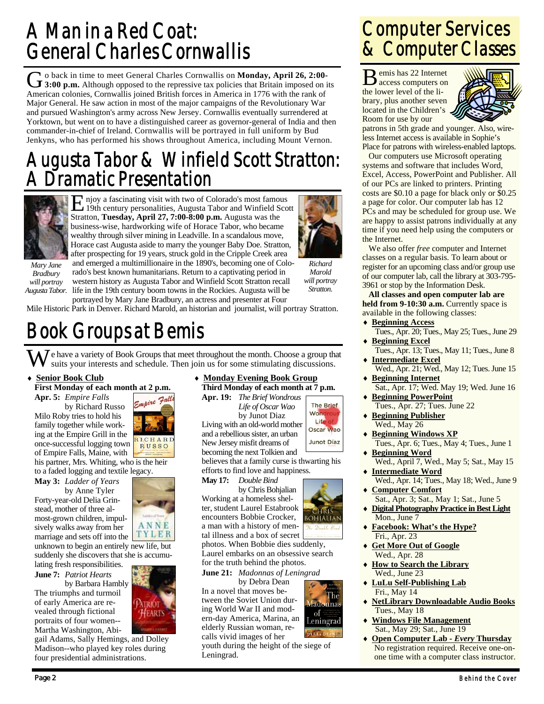## A Man in a Red Coat: General Charles Cornwallis

G o back in time to meet General Charles Cornwallis on **Monday, April 26, 2:00-**<br> **3:00 p.m.** Although opposed to the repressive tax policies that Britain imposed on its American colonies, Cornwallis joined British forces in America in 1776 with the rank of Major General. He saw action in most of the major campaigns of the Revolutionary War and pursued Washington's army across New Jersey. Cornwallis eventually surrendered at Yorktown, but went on to have a distinguished career as governor-general of India and then commander-in-chief of Ireland. Cornwallis will be portrayed in full uniform by Bud Jenkyns, who has performed his shows throughout America, including Mount Vernon.

### Augusta Tabor & Winfield Scott Stratton: Dramatic Presentation



E njoy a fascinating visit with two of Colorado's most famous 19th century personalities, Augusta Tabor and Winfield Scott Stratton, **Tuesday, April 27, 7:00-8:00 p.m.** Augusta was the business-wise, hardworking wife of Horace Tabor, who became wealthy through silver mining in Leadville. In a scandalous move, Horace cast Augusta aside to marry the younger Baby Doe. Stratton, after prospecting for 19 years, struck gold in the Cripple Creek area



*Mary Jane Bradbury will portray Augusta Tabor.* 

and emerged a multimillionaire in the 1890's, becoming one of Colorado's best known humanitarians. Return to a captivating period in western history as Augusta Tabor and Winfield Scott Stratton recall life in the 19th century boom towns in the Rockies. Augusta will be

*Marold will portray Stratton.* 

> The Brief Wonc Life Oscar Wao

Junot Díaz

**Ladonnas** of Leningrad

*Richard* 

portrayed by Mary Jane Bradbury, an actress and presenter at Four Mile Historic Park in Denver. Richard Marold, an historian and journalist, will portray Stratton.

# Book Groups at Bemis

 $\sum$  e have a variety of Book Groups that meet throughout the month. Choose a group that suits your interests and schedule. Then join us for some stimulating discussions.

#### **Senior Book Club**

**First Monday of each month at 2 p.m.** 

**Apr. 5:** *Empire Falls*  by Richard Russo Milo Roby tries to hold his family together while working at the Empire Grill in the once-successful logging town of Empire Falls, Maine, with

his partner, Mrs. Whiting, who is the heir to a faded logging and textile legacy.

**May 3:** *Ladder of Years* 

 by Anne Tyler Forty-year-old Delia Grinstead, mother of three almost-grown children, impulsively walks away from her marriage and sets off into the unknown to begin an entirely new life, but

suddenly she discovers that she is accumulating fresh responsibilities. **June 7:** *Patriot Hearts* 

 by Barbara Hambly The triumphs and turmoil of early America are revealed through fictional portraits of four women-- Martha Washington, Abi-



ANNE TYLER

gail Adams, Sally Hemings, and Dolley Madison--who played key roles during four presidential administrations.

#### **Monday Evening Book Group Third Monday of each month at 7 p.m.**

**Apr. 19:** *The Brief Wondrous Life of Oscar Wao*  by Junot Diaz Living with an old-world mother and a rebellious sister, an urban New Jersey misfit dreams of

becoming the next Tolkien and believes that a family curse is thwarting his efforts to find love and happiness.

**May 17:** *Double Bind* 

 by Chris Bohjalian Working at a homeless shelter, student Laurel Estabrook encounters Bobbie Crocker, a man with a history of mental illness and a box of secret

photos. When Bobbie dies suddenly, Laurel embarks on an obsessive search for the truth behind the photos.

**June 21:** *Madonnas of Leningrad* 

by Debra Dean In a novel that moves between the Soviet Union during World War II and modern-day America, Marina, an elderly Russian woman, recalls vivid images of her

youth during the height of the siege of Leningrad.

### Computer Services & Computer Classes

B emis has 22 Internet access computers on the lower level of the library, plus another seven located in the Children's Room for use by our



patrons in 5th grade and younger. Also, wireless Internet access is available in Sophie's Place for patrons with wireless-enabled laptops.

 Our computers use Microsoft operating systems and software that includes Word, Excel, Access, PowerPoint and Publisher. All of our PCs are linked to printers. Printing costs are \$0.10 a page for black only or \$0.25 a page for color. Our computer lab has 12 PCs and may be scheduled for group use. We are happy to assist patrons individually at any time if you need help using the computers or the Internet.

 We also offer *free* computer and Internet classes on a regular basis. To learn about or register for an upcoming class and/or group use of our computer lab, call the library at 303-795- 3961 or stop by the Information Desk.

**All classes and open computer lab are**  held from 9-10:30 a.m. Currently space is available in the following classes:

- ♦ **Beginning Access** Tues., Apr. 20; Tues., May 25; Tues., June 29
- **Beginning Excel** Tues., Apr. 13; Tues., May 11; Tues., June 8
- ♦ **Intermediate Excel** Wed., Apr. 21; Wed., May 12; Tues. June 15
- ♦ **Beginning Internet** Sat., Apr. 17; Wed. May 19; Wed. June 16
- **Beginning PowerPoint** Tues., Apr. 27; Tues. June 22
- **Beginning Publisher** Wed., May 26
- **Beginning Windows XP** Tues., Apr. 6; Tues., May 4; Tues., June 1 **Beginning Word**
- Wed., April 7, Wed., May 5; Sat., May 15 ♦ **Intermediate Word**
- Wed., Apr. 14; Tues., May 18; Wed., June 9 **Computer Comfort**
- Sat., Apr. 3; Sat., May 1; Sat., June 5
- **Digital Photography Practice in Best Light** Mon., June 7
- **Facebook: What's the Hype?** Fri., Apr. 23
- **Get More Out of Google** Wed., Apr. 28
- **How to Search the Library** Wed., June 23
- ♦ **LuLu Self-Publishing Lab** Fri., May 14
- **NetLibrary Downloadable Audio Books** Tues., May 18
- **Windows File Management** Sat., May 29; Sat., June 19
- ♦ **Open Computer Lab** *Every* **Thursday** No registration required. Receive one-onone time with a computer class instructor.



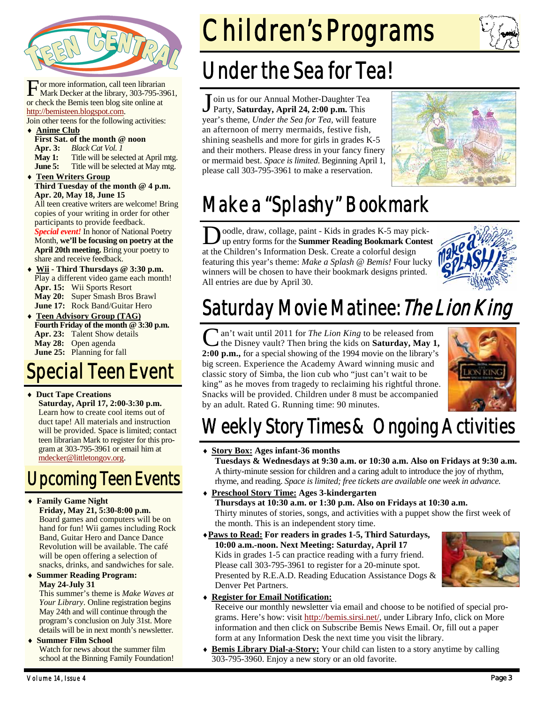

For more information, call teen librarian<br>Mark Decker at the library, 303-795-3961, or check the Bemis teen blog site online at http://bemisteen.blogspot.com.

Join other teens for the following activities: **Anime Club** 

**First Sat. of the month @ noon** 

**Apr. 3:** *Black Cat Vol. 1* 

**May 1:** Title will be selected at April mtg.

**June 5:** Title will be selected at May mtg.

**Teen Writers Group Third Tuesday of the month @ 4 p.m. Apr. 20, May 18, June 15** 

All teen creative writers are welcome! Bring copies of your writing in order for other participants to provide feedback. *Special event!* In honor of National Poetry

Month, **we'll be focusing on poetry at the April 20th meeting.** Bring your poetry to share and receive feedback.

- Wii Third Thursdays @ 3:30 p.m. Play a different video game each month! **Apr. 15:** Wii Sports Resort **May 20:** Super Smash Bros Brawl **June 17:** Rock Band/Guitar Hero
- ♦ **Teen Advisory Group (TAG) Fourth Friday of the month @ 3:30 p.m. Apr. 23:** Talent Show details **May 28:** Open agenda **June 25:** Planning for fall

# Special Teen Event

♦ **Duct Tape Creations Saturday, April 17, 2:00-3:30 p.m.**  Learn how to create cool items out of duct tape! All materials and instruction will be provided. Space is limited; contact teen librarian Mark to register for this program at 303-795-3961 or email him at mdecker@littletongov.org.

# Upcoming Teen Events

#### ♦ **Family Game Night**

**Friday, May 21, 5:30-8:00 p.m.**  Board games and computers will be on hand for fun! Wii games including Rock Band, Guitar Hero and Dance Dance Revolution will be available. The café will be open offering a selection of snacks, drinks, and sandwiches for sale.

♦ **Summer Reading Program: May 24-July 31** 

This summer's theme is *Make Waves at Your Library*. Online registration begins May 24th and will continue through the program's conclusion on July 31st. More details will be in next month's newsletter.

#### **Summer Film School** Watch for news about the summer film school at the Binning Family Foundation!

Children's Programs



# Under the Sea for Tea!

J oin us for our Annual Mother-Daughter Tea Party, **Saturday, April 24, 2:00 p.m.** This year's theme, *Under the Sea for Tea,* will feature an afternoon of merry mermaids, festive fish, shining seashells and more for girls in grades K-5 and their mothers. Please dress in your fancy finery or mermaid best. *Space is limited*. Beginning April 1, please call 303-795-3961 to make a reservation.



# Make a "Splashy" Bookmark

oodle, draw, collage, paint - Kids in grades K-5 may pickup entry forms for the **Summer Reading Bookmark Contest**  at the Children's Information Desk. Create a colorful design featuring this year's theme: *Make a Splash @ Bemis!* Four lucky winners will be chosen to have their bookmark designs printed. All entries are due by April 30.



# Saturday Movie Matinee: The Lion King

an't wait until 2011 for *The Lion King* to be released from the Disney vault? Then bring the kids on **Saturday, May 1, 2:00 p.m.,** for a special showing of the 1994 movie on the library's big screen. Experience the Academy Award winning music and classic story of Simba, the lion cub who "just can't wait to be king" as he moves from tragedy to reclaiming his rightful throne. Snacks will be provided. Children under 8 must be accompanied by an adult. Rated G. Running time: 90 minutes.



# Weekly Story Times & Ongoing Activities

#### ♦ **Story Box: Ages infant-36 months**

 **Tuesdays & Wednesdays at 9:30 a.m. or 10:30 a.m. Also on Fridays at 9:30 a.m.**  A thirty-minute session for children and a caring adult to introduce the joy of rhythm, rhyme, and reading. *Space is limited; free tickets are available one week in advance.* 

- ♦ **Preschool Story Time: Ages 3-kindergarten Thursdays at 10:30 a.m. or 1:30 p.m. Also on Fridays at 10:30 a.m.**  Thirty minutes of stories, songs, and activities with a puppet show the first week of the month. This is an independent story time.
- ♦**Paws to Read: For readers in grades 1-5, Third Saturdays, 10:00 a.m.-noon. Next Meeting: Saturday, April 17**  Kids in grades 1-5 can practice reading with a furry friend. Please call 303-795-3961 to register for a 20-minute spot. Presented by R.E.A.D. Reading Education Assistance Dogs & Denver Pet Partners.



### ♦ **Register for Email Notification:**

Receive our monthly newsletter via email and choose to be notified of special programs. Here's how: visit http://bemis.sirsi.net/, under Library Info, click on More information and then click on Subscribe Bemis News Email. Or, fill out a paper form at any Information Desk the next time you visit the library.

**Bemis Library Dial-a-Story:** Your child can listen to a story anytime by calling 303-795-3960. Enjoy a new story or an old favorite.